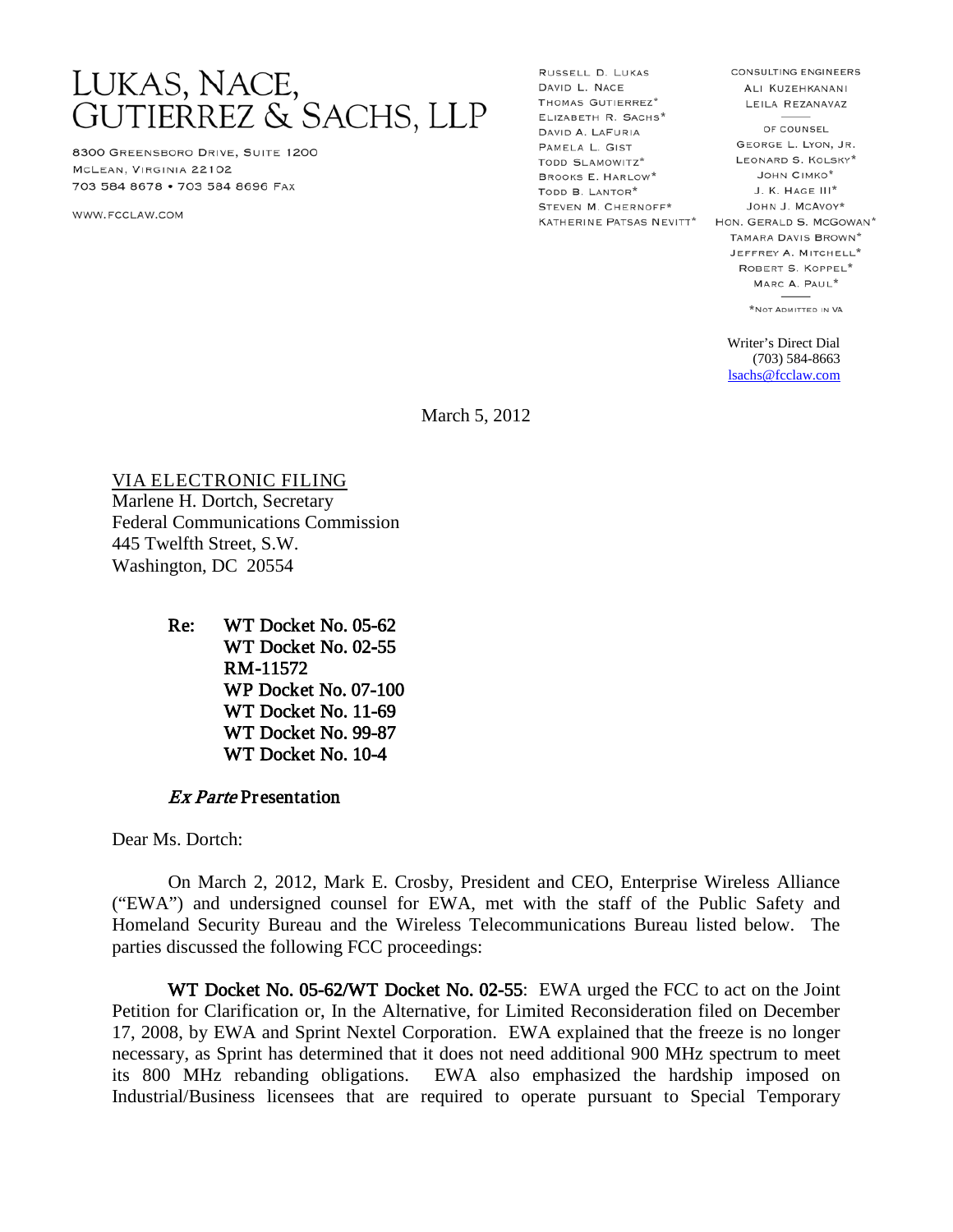## $M_A \cap M_A$ KAS, IN  $GUTIERREZ \& SACHS, LLP$

8300 GREENSBORO DRIVE, SUITE 1200 MCLEAN, VIRGINIA 22102 703 584 8678 · 703 584 8696 FAX

WWW.FCCLAW.COM

RUSSELL D. LUKAS DAVID L. NACE THOMAS GUTIERREZ\* DAVID A. LAFURIA PAMELA L. GIST TODD SLAMOWITZ\* BROOKS E. HARLOW\* TODD B. LANTOR\* STEVEN M. CHERNOFF\*

CONSULTING ENGINEERS ALI KUZEHKANANI LEILA REZANAVAZ OF COUNSEL GEORGE L. LYON, JR. LEONARD S. KOLSKY\* JOHN CIMKO\* J. K. HAGE III\* JOHN J. MCAVOY\* KATHERINE PATSAS NEVITT\* HON. GERALD S. MCGOWAN\* TAMARA DAVIS BROWN\* JEFFREY A. MITCHELL\* ROBERT S. KOPPEL\* MARC A. PAUL\*

\* NOT ADMITTED IN VA

Writer's Direct Dial (703) 584-8663 [lsachs@fcclaw.com](mailto:lsachs@fcclaw.com)

March 5, 2012

VIA ELECTRONIC FILING

Marlene H. Dortch, Secretary Federal Communications Commission 445 Twelfth Street, S.W. Washington, DC 20554

> Re: WT Docket No. 05-62 WT Docket No. 02-55 RM-11572 WP Docket No. 07-100 WT Docket No. 11-69 WT Docket No. 99-87 WT Docket No. 10-4

## Ex Parte Presentation

Dear Ms. Dortch:

On March 2, 2012, Mark E. Crosby, President and CEO, Enterprise Wireless Alliance ("EWA") and undersigned counsel for EWA, met with the staff of the Public Safety and Homeland Security Bureau and the Wireless Telecommunications Bureau listed below. The parties discussed the following FCC proceedings:

WT Docket No. 05-62/WT Docket No. 02-55: EWA urged the FCC to act on the Joint Petition for Clarification or, In the Alternative, for Limited Reconsideration filed on December 17, 2008, by EWA and Sprint Nextel Corporation. EWA explained that the freeze is no longer necessary, as Sprint has determined that it does not need additional 900 MHz spectrum to meet its 800 MHz rebanding obligations. EWA also emphasized the hardship imposed on Industrial/Business licensees that are required to operate pursuant to Special Temporary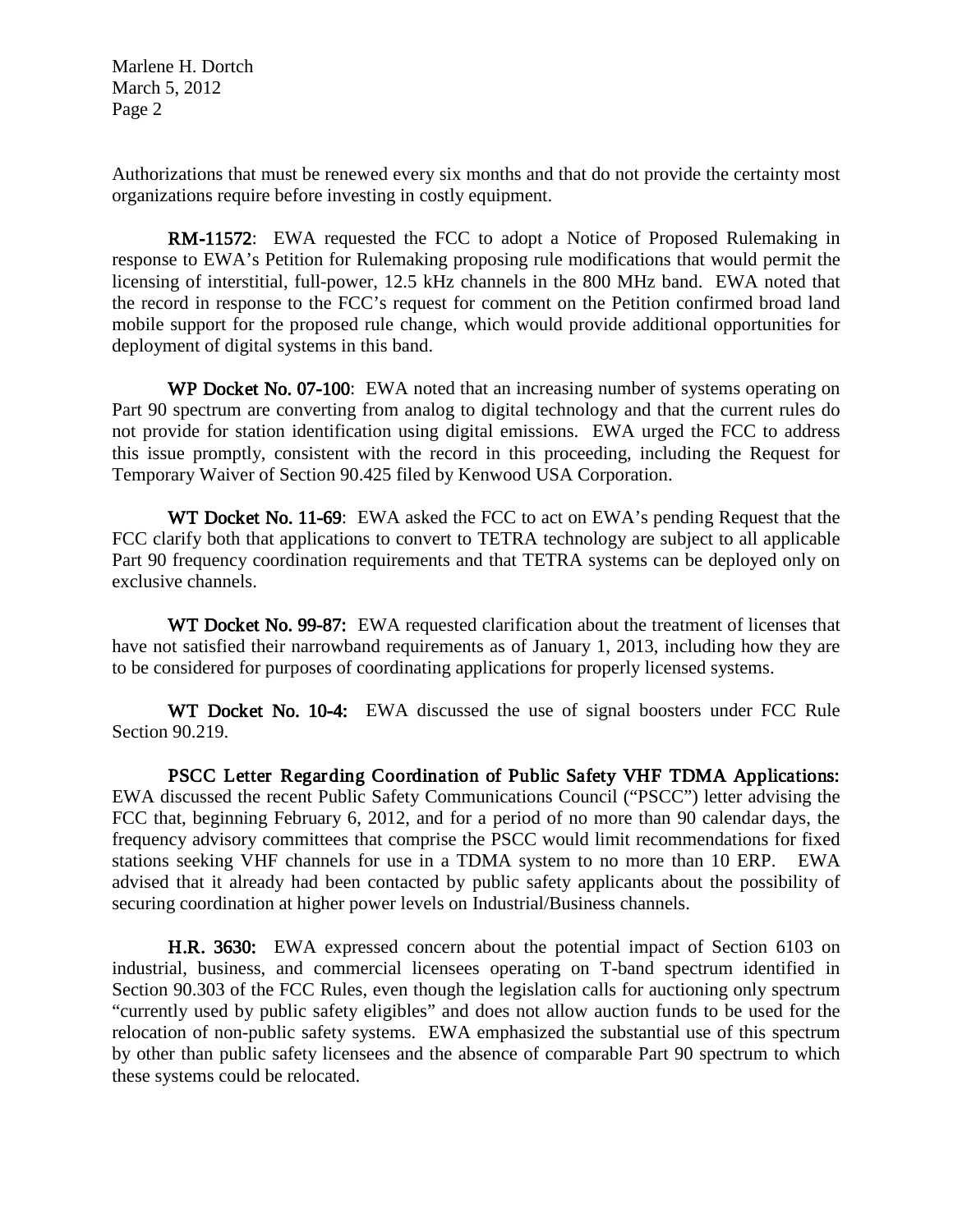Marlene H. Dortch March 5, 2012 Page 2

Authorizations that must be renewed every six months and that do not provide the certainty most organizations require before investing in costly equipment.

RM-11572: EWA requested the FCC to adopt a Notice of Proposed Rulemaking in response to EWA's Petition for Rulemaking proposing rule modifications that would permit the licensing of interstitial, full-power, 12.5 kHz channels in the 800 MHz band. EWA noted that the record in response to the FCC's request for comment on the Petition confirmed broad land mobile support for the proposed rule change, which would provide additional opportunities for deployment of digital systems in this band.

WP Docket No. 07-100: EWA noted that an increasing number of systems operating on Part 90 spectrum are converting from analog to digital technology and that the current rules do not provide for station identification using digital emissions. EWA urged the FCC to address this issue promptly, consistent with the record in this proceeding, including the Request for Temporary Waiver of Section 90.425 filed by Kenwood USA Corporation.

WT Docket No. 11-69: EWA asked the FCC to act on EWA's pending Request that the FCC clarify both that applications to convert to TETRA technology are subject to all applicable Part 90 frequency coordination requirements and that TETRA systems can be deployed only on exclusive channels.

WT Docket No. 99-87: EWA requested clarification about the treatment of licenses that have not satisfied their narrowband requirements as of January 1, 2013, including how they are to be considered for purposes of coordinating applications for properly licensed systems.

WT Docket No. 10-4: EWA discussed the use of signal boosters under FCC Rule Section 90.219.

 PSCC Letter Regarding Coordination of Public Safety VHF TDMA Applications: EWA discussed the recent Public Safety Communications Council ("PSCC") letter advising the FCC that, beginning February 6, 2012, and for a period of no more than 90 calendar days, the frequency advisory committees that comprise the PSCC would limit recommendations for fixed stations seeking VHF channels for use in a TDMA system to no more than 10 ERP. EWA advised that it already had been contacted by public safety applicants about the possibility of securing coordination at higher power levels on Industrial/Business channels.

 H.R. 3630: EWA expressed concern about the potential impact of Section 6103 on industrial, business, and commercial licensees operating on T-band spectrum identified in Section 90.303 of the FCC Rules, even though the legislation calls for auctioning only spectrum "currently used by public safety eligibles" and does not allow auction funds to be used for the relocation of non-public safety systems. EWA emphasized the substantial use of this spectrum by other than public safety licensees and the absence of comparable Part 90 spectrum to which these systems could be relocated.